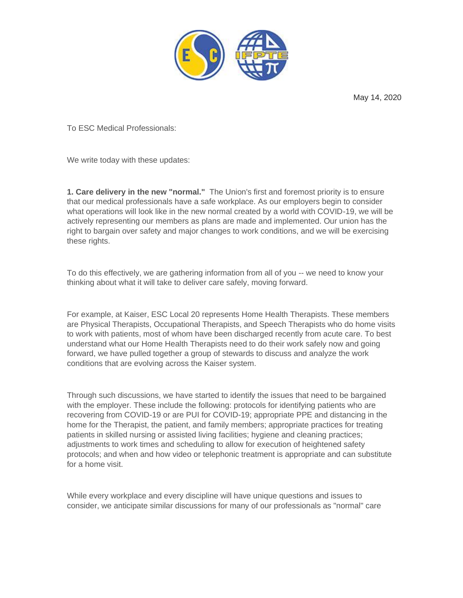

May 14, 2020

To ESC Medical Professionals:

We write today with these updates:

**1. Care delivery in the new "normal."** The Union's first and foremost priority is to ensure that our medical professionals have a safe workplace. As our employers begin to consider what operations will look like in the new normal created by a world with COVID-19, we will be actively representing our members as plans are made and implemented. Our union has the right to bargain over safety and major changes to work conditions, and we will be exercising these rights.

To do this effectively, we are gathering information from all of you -- we need to know your thinking about what it will take to deliver care safely, moving forward.

For example, at Kaiser, ESC Local 20 represents Home Health Therapists. These members are Physical Therapists, Occupational Therapists, and Speech Therapists who do home visits to work with patients, most of whom have been discharged recently from acute care. To best understand what our Home Health Therapists need to do their work safely now and going forward, we have pulled together a group of stewards to discuss and analyze the work conditions that are evolving across the Kaiser system.

Through such discussions, we have started to identify the issues that need to be bargained with the employer. These include the following: protocols for identifying patients who are recovering from COVID-19 or are PUI for COVID-19; appropriate PPE and distancing in the home for the Therapist, the patient, and family members; appropriate practices for treating patients in skilled nursing or assisted living facilities; hygiene and cleaning practices; adjustments to work times and scheduling to allow for execution of heightened safety protocols; and when and how video or telephonic treatment is appropriate and can substitute for a home visit.

While every workplace and every discipline will have unique questions and issues to consider, we anticipate similar discussions for many of our professionals as "normal" care